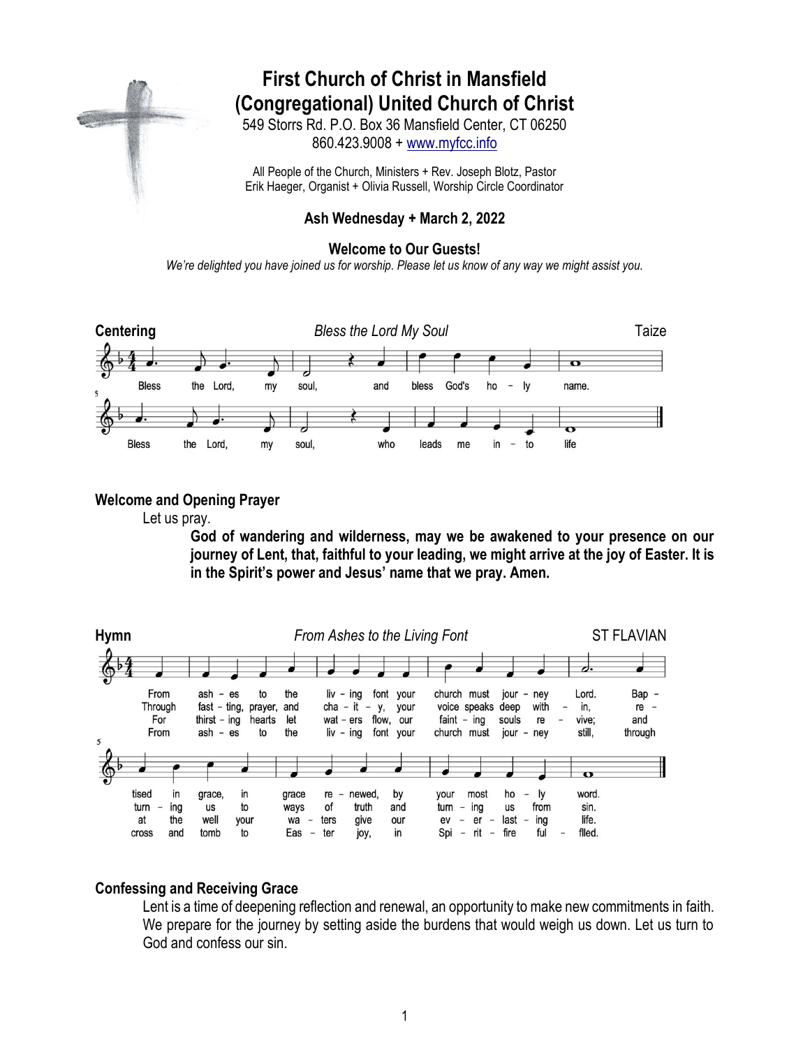# **First Church of Christ in Mansfield (Congregational) United Church of Christ**

549 Storrs Rd. P.O. Box 36 Mansfield Center, CT 06250 860.423.9008 + [www.myfcc.info](http://www.myfcc.info/)

All People of the Church, Ministers + Rev. Joseph Blotz, Pastor Erik Haeger, Organist + Olivia Russell, Worship Circle Coordinator

# **Ash Wednesday + March 2, 2022**

#### **Welcome to Our Guests!**

*We're delighted you have joined us for worship. Please let us know of any way we might assist you.*



### **Welcome and Opening Prayer**

Let us pray.

**God of wandering and wilderness, may we be awakened to your presence on our journey of Lent, that, faithful to your leading, we might arrive at the joy of Easter. It is in the Spirit's power and Jesus' name that we pray. Amen.**



# **Confessing and Receiving Grace**

Lent is a time of deepening reflection and renewal, an opportunity to make new commitments in faith. We prepare for the journey by setting aside the burdens that would weigh us down. Let us turn to God and confess our sin.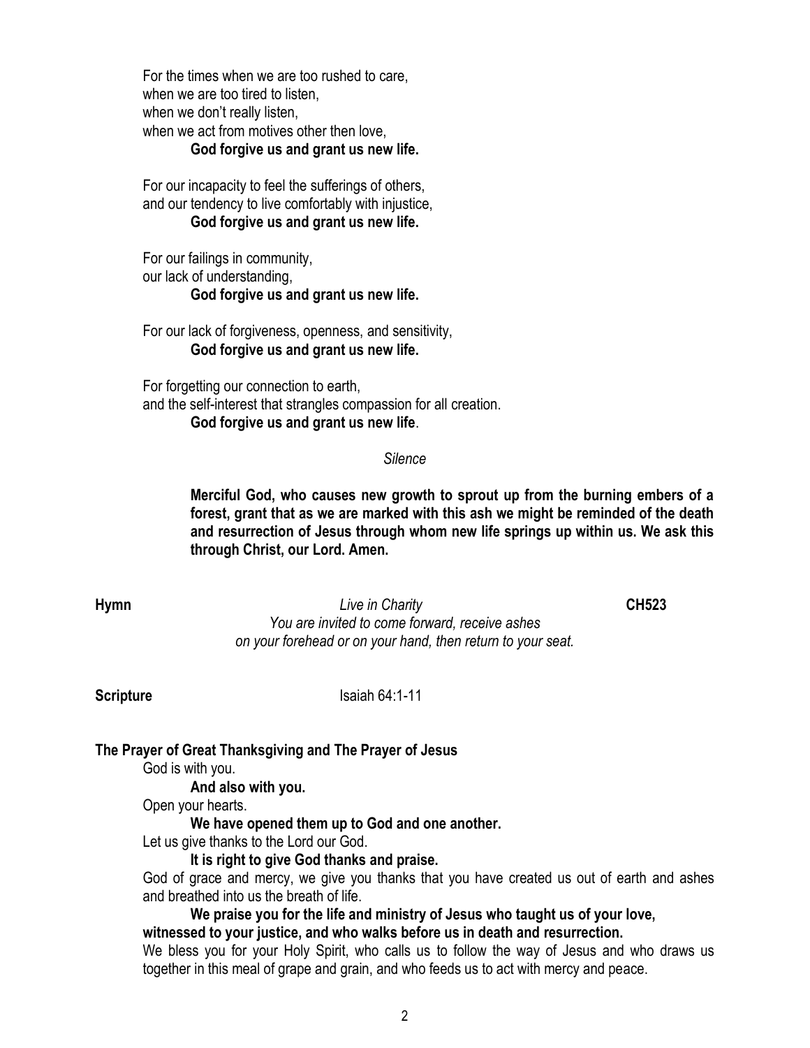For the times when we are too rushed to care, when we are too tired to listen. when we don't really listen, when we act from motives other then love,

#### **God forgive us and grant us new life.**

For our incapacity to feel the sufferings of others, and our tendency to live comfortably with injustice, **God forgive us and grant us new life.**

For our failings in community, our lack of understanding, **God forgive us and grant us new life.**

For our lack of forgiveness, openness, and sensitivity, **God forgive us and grant us new life.**

For forgetting our connection to earth, and the self-interest that strangles compassion for all creation. **God forgive us and grant us new life**.

### *Silence*

**Merciful God, who causes new growth to sprout up from the burning embers of a forest, grant that as we are marked with this ash we might be reminded of the death and resurrection of Jesus through whom new life springs up within us. We ask this through Christ, our Lord. Amen.**

**Hymn** *Live in Charity* **CH523** *You are invited to come forward, receive ashes on your forehead or on your hand, then return to your seat.*

**Scripture** Isaiah 64:1-11

# **The Prayer of Great Thanksgiving and The Prayer of Jesus**

God is with you.

**And also with you.**

Open your hearts.

**We have opened them up to God and one another.**

Let us give thanks to the Lord our God.

# **It is right to give God thanks and praise.**

God of grace and mercy, we give you thanks that you have created us out of earth and ashes and breathed into us the breath of life.

**We praise you for the life and ministry of Jesus who taught us of your love, witnessed to your justice, and who walks before us in death and resurrection.** 

We bless you for your Holy Spirit, who calls us to follow the way of Jesus and who draws us together in this meal of grape and grain, and who feeds us to act with mercy and peace.